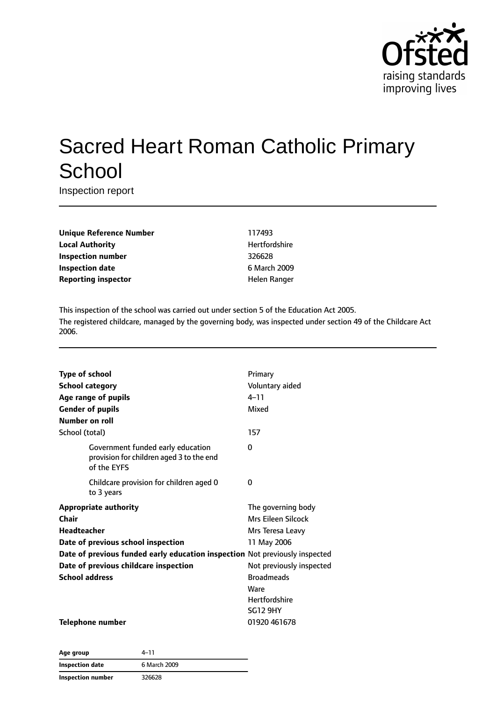

# Sacred Heart Roman Catholic Primary **School**

Inspection report

| <b>Unique Reference Number</b> |
|--------------------------------|
| <b>Local Authority</b>         |
| Inspection number              |
| <b>Inspection date</b>         |
| <b>Reporting inspector</b>     |

**Unique Reference Number** 117493 **Hertfordshire Inspection number** 326628 **Inspection date** 6 March 2009 **Helen Ranger** 

This inspection of the school was carried out under section 5 of the Education Act 2005. The registered childcare, managed by the governing body, was inspected under section 49 of the Childcare Act 2006.

| <b>Type of school</b>   |                                                                                              | Primary                  |
|-------------------------|----------------------------------------------------------------------------------------------|--------------------------|
|                         |                                                                                              |                          |
| <b>School category</b>  |                                                                                              | Voluntary aided          |
|                         | Age range of pupils                                                                          | $4 - 11$                 |
| <b>Gender of pupils</b> |                                                                                              | Mixed                    |
| Number on roll          |                                                                                              |                          |
| School (total)          |                                                                                              | 157                      |
|                         | Government funded early education<br>provision for children aged 3 to the end<br>of the EYFS | 0                        |
|                         | Childcare provision for children aged 0<br>to 3 years                                        | 0                        |
|                         | <b>Appropriate authority</b>                                                                 | The governing body       |
| Chair                   |                                                                                              | Mrs Eileen Silcock       |
| Headteacher             |                                                                                              | Mrs Teresa Leavy         |
|                         | Date of previous school inspection                                                           | 11 May 2006              |
|                         | Date of previous funded early education inspection Not previously inspected                  |                          |
|                         | Date of previous childcare inspection                                                        | Not previously inspected |
| <b>School address</b>   |                                                                                              | <b>Broadmeads</b>        |
|                         |                                                                                              | Ware                     |
|                         |                                                                                              | <b>Hertfordshire</b>     |
|                         |                                                                                              | <b>SG12 9HY</b>          |
|                         | <b>Telephone number</b>                                                                      | 01920 461678             |

| Age group         | 4–11         |
|-------------------|--------------|
| Inspection date   | 6 March 2009 |
| Inspection number | 326628       |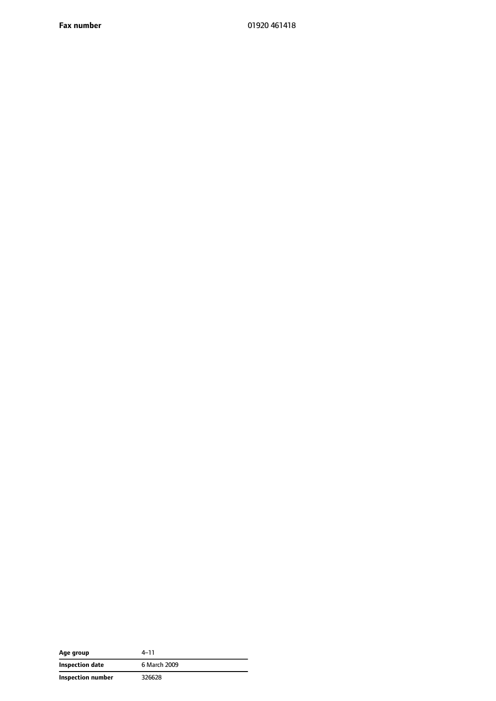**Fax number** 01920 461418

| Age group         | $4 - 11$     |
|-------------------|--------------|
| Inspection date   | 6 March 2009 |
| Inspection number | 326628       |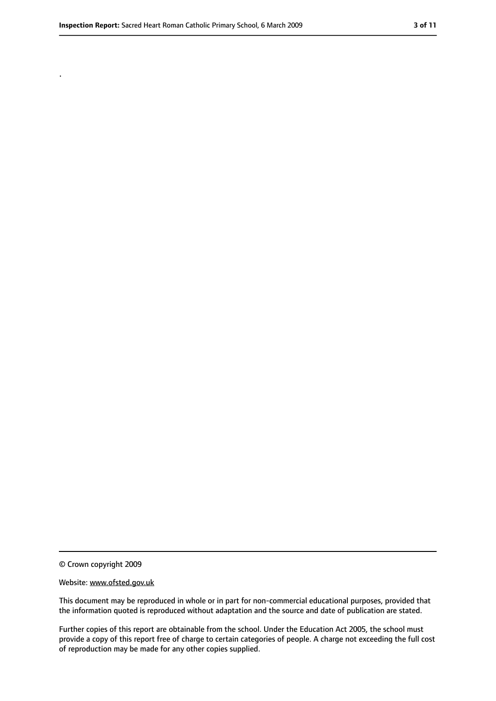.

<sup>©</sup> Crown copyright 2009

Website: www.ofsted.gov.uk

This document may be reproduced in whole or in part for non-commercial educational purposes, provided that the information quoted is reproduced without adaptation and the source and date of publication are stated.

Further copies of this report are obtainable from the school. Under the Education Act 2005, the school must provide a copy of this report free of charge to certain categories of people. A charge not exceeding the full cost of reproduction may be made for any other copies supplied.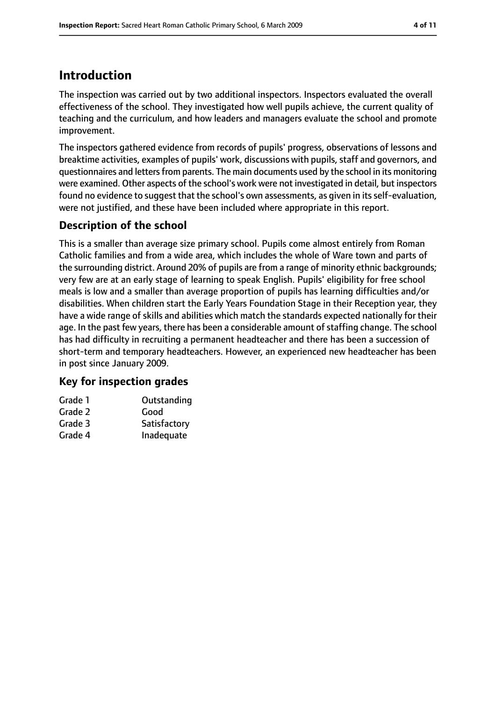### **Introduction**

The inspection was carried out by two additional inspectors. Inspectors evaluated the overall effectiveness of the school. They investigated how well pupils achieve, the current quality of teaching and the curriculum, and how leaders and managers evaluate the school and promote improvement.

The inspectors gathered evidence from records of pupils' progress, observations of lessons and breaktime activities, examples of pupils' work, discussions with pupils, staff and governors, and questionnaires and letters from parents. The main documents used by the school in its monitoring were examined. Other aspects of the school's work were not investigated in detail, but inspectors found no evidence to suggest that the school's own assessments, as given in itsself-evaluation, were not justified, and these have been included where appropriate in this report.

### **Description of the school**

This is a smaller than average size primary school. Pupils come almost entirely from Roman Catholic families and from a wide area, which includes the whole of Ware town and parts of the surrounding district. Around 20% of pupils are from a range of minority ethnic backgrounds; very few are at an early stage of learning to speak English. Pupils' eligibility for free school meals is low and a smaller than average proportion of pupils has learning difficulties and/or disabilities. When children start the Early Years Foundation Stage in their Reception year, they have a wide range of skills and abilities which match the standards expected nationally for their age. In the past few years, there has been a considerable amount of staffing change. The school has had difficulty in recruiting a permanent headteacher and there has been a succession of short-term and temporary headteachers. However, an experienced new headteacher has been in post since January 2009.

#### **Key for inspection grades**

| Grade 1 | Outstanding  |
|---------|--------------|
| Grade 2 | Good         |
| Grade 3 | Satisfactory |
| Grade 4 | Inadequate   |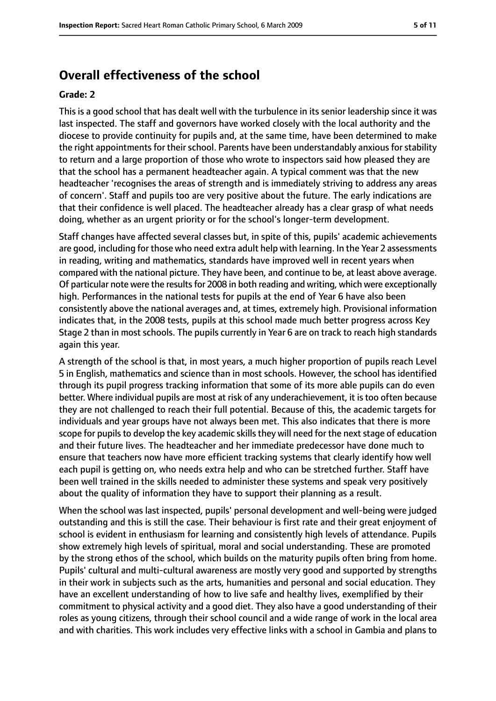### **Overall effectiveness of the school**

#### **Grade: 2**

This is a good school that has dealt well with the turbulence in its senior leadership since it was last inspected. The staff and governors have worked closely with the local authority and the diocese to provide continuity for pupils and, at the same time, have been determined to make the right appointments for their school. Parents have been understandably anxious for stability to return and a large proportion of those who wrote to inspectors said how pleased they are that the school has a permanent headteacher again. A typical comment was that the new headteacher 'recognises the areas of strength and is immediately striving to address any areas of concern'. Staff and pupils too are very positive about the future. The early indications are that their confidence is well placed. The headteacher already has a clear grasp of what needs doing, whether as an urgent priority or for the school's longer-term development.

Staff changes have affected several classes but, in spite of this, pupils' academic achievements are good, including for those who need extra adult help with learning. In the Year 2 assessments in reading, writing and mathematics, standards have improved well in recent years when compared with the national picture. They have been, and continue to be, at least above average. Of particular note were the results for 2008 in both reading and writing, which were exceptionally high. Performances in the national tests for pupils at the end of Year 6 have also been consistently above the national averages and, at times, extremely high. Provisional information indicates that, in the 2008 tests, pupils at this school made much better progress across Key Stage 2 than in most schools. The pupils currently in Year 6 are on track to reach high standards again this year.

A strength of the school is that, in most years, a much higher proportion of pupils reach Level 5 in English, mathematics and science than in most schools. However, the school has identified through its pupil progress tracking information that some of its more able pupils can do even better. Where individual pupils are most at risk of any underachievement, it is too often because they are not challenged to reach their full potential. Because of this, the academic targets for individuals and year groups have not always been met. This also indicates that there is more scope for pupils to develop the key academic skills they will need for the next stage of education and their future lives. The headteacher and her immediate predecessor have done much to ensure that teachers now have more efficient tracking systems that clearly identify how well each pupil is getting on, who needs extra help and who can be stretched further. Staff have been well trained in the skills needed to administer these systems and speak very positively about the quality of information they have to support their planning as a result.

When the school was last inspected, pupils' personal development and well-being were judged outstanding and this is still the case. Their behaviour is first rate and their great enjoyment of school is evident in enthusiasm for learning and consistently high levels of attendance. Pupils show extremely high levels of spiritual, moral and social understanding. These are promoted by the strong ethos of the school, which builds on the maturity pupils often bring from home. Pupils' cultural and multi-cultural awareness are mostly very good and supported by strengths in their work in subjects such as the arts, humanities and personal and social education. They have an excellent understanding of how to live safe and healthy lives, exemplified by their commitment to physical activity and a good diet. They also have a good understanding of their roles as young citizens, through their school council and a wide range of work in the local area and with charities. This work includes very effective links with a school in Gambia and plans to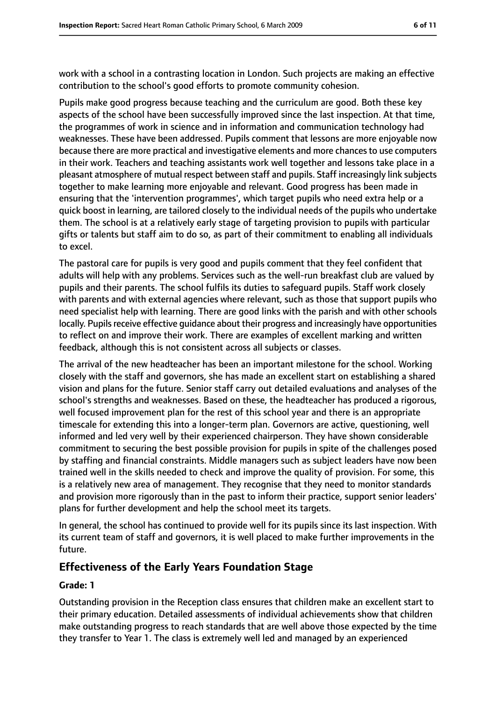work with a school in a contrasting location in London. Such projects are making an effective contribution to the school's good efforts to promote community cohesion.

Pupils make good progress because teaching and the curriculum are good. Both these key aspects of the school have been successfully improved since the last inspection. At that time, the programmes of work in science and in information and communication technology had weaknesses. These have been addressed. Pupils comment that lessons are more enjoyable now because there are more practical and investigative elements and more chances to use computers in their work. Teachers and teaching assistants work well together and lessons take place in a pleasant atmosphere of mutual respect between staff and pupils. Staff increasingly link subjects together to make learning more enjoyable and relevant. Good progress has been made in ensuring that the 'intervention programmes', which target pupils who need extra help or a quick boost in learning, are tailored closely to the individual needs of the pupils who undertake them. The school is at a relatively early stage of targeting provision to pupils with particular gifts or talents but staff aim to do so, as part of their commitment to enabling all individuals to excel.

The pastoral care for pupils is very good and pupils comment that they feel confident that adults will help with any problems. Services such as the well-run breakfast club are valued by pupils and their parents. The school fulfils its duties to safeguard pupils. Staff work closely with parents and with external agencies where relevant, such as those that support pupils who need specialist help with learning. There are good links with the parish and with other schools locally. Pupils receive effective quidance about their progress and increasingly have opportunities to reflect on and improve their work. There are examples of excellent marking and written feedback, although this is not consistent across all subjects or classes.

The arrival of the new headteacher has been an important milestone for the school. Working closely with the staff and governors, she has made an excellent start on establishing a shared vision and plans for the future. Senior staff carry out detailed evaluations and analyses of the school's strengths and weaknesses. Based on these, the headteacher has produced a rigorous, well focused improvement plan for the rest of this school year and there is an appropriate timescale for extending this into a longer-term plan. Governors are active, questioning, well informed and led very well by their experienced chairperson. They have shown considerable commitment to securing the best possible provision for pupils in spite of the challenges posed by staffing and financial constraints. Middle managers such as subject leaders have now been trained well in the skills needed to check and improve the quality of provision. For some, this is a relatively new area of management. They recognise that they need to monitor standards and provision more rigorously than in the past to inform their practice, support senior leaders' plans for further development and help the school meet its targets.

In general, the school has continued to provide well for its pupils since its last inspection. With its current team of staff and governors, it is well placed to make further improvements in the future.

#### **Effectiveness of the Early Years Foundation Stage**

#### **Grade: 1**

Outstanding provision in the Reception class ensures that children make an excellent start to their primary education. Detailed assessments of individual achievements show that children make outstanding progress to reach standards that are well above those expected by the time they transfer to Year 1. The class is extremely well led and managed by an experienced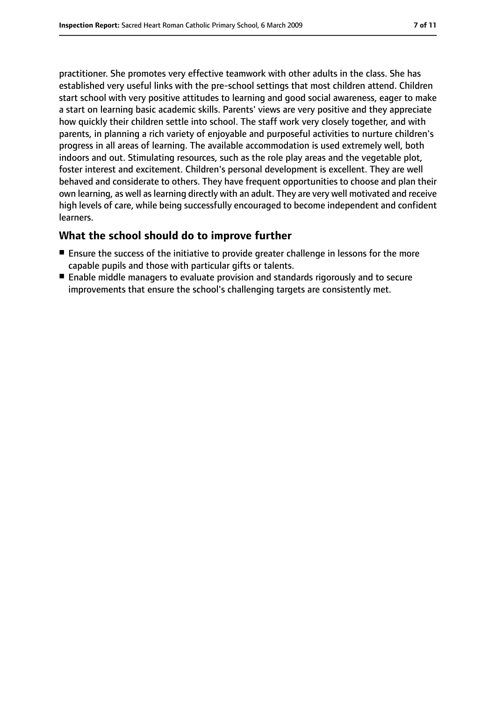practitioner. She promotes very effective teamwork with other adults in the class. She has established very useful links with the pre-school settings that most children attend. Children start school with very positive attitudes to learning and good social awareness, eager to make a start on learning basic academic skills. Parents' views are very positive and they appreciate how quickly their children settle into school. The staff work very closely together, and with parents, in planning a rich variety of enjoyable and purposeful activities to nurture children's progress in all areas of learning. The available accommodation is used extremely well, both indoors and out. Stimulating resources, such as the role play areas and the vegetable plot, foster interest and excitement. Children's personal development is excellent. They are well behaved and considerate to others. They have frequent opportunities to choose and plan their own learning, as well as learning directly with an adult. They are very well motivated and receive high levels of care, while being successfully encouraged to become independent and confident learners.

#### **What the school should do to improve further**

- Ensure the success of the initiative to provide greater challenge in lessons for the more capable pupils and those with particular gifts or talents.
- Enable middle managers to evaluate provision and standards rigorously and to secure improvements that ensure the school's challenging targets are consistently met.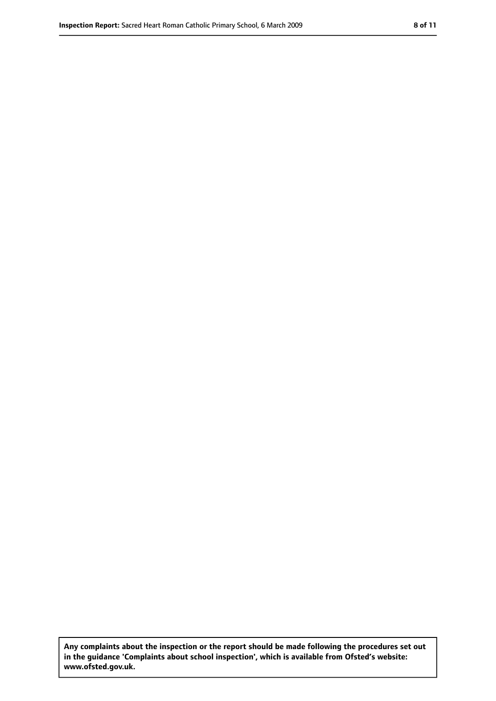**Any complaints about the inspection or the report should be made following the procedures set out in the guidance 'Complaints about school inspection', which is available from Ofsted's website: www.ofsted.gov.uk.**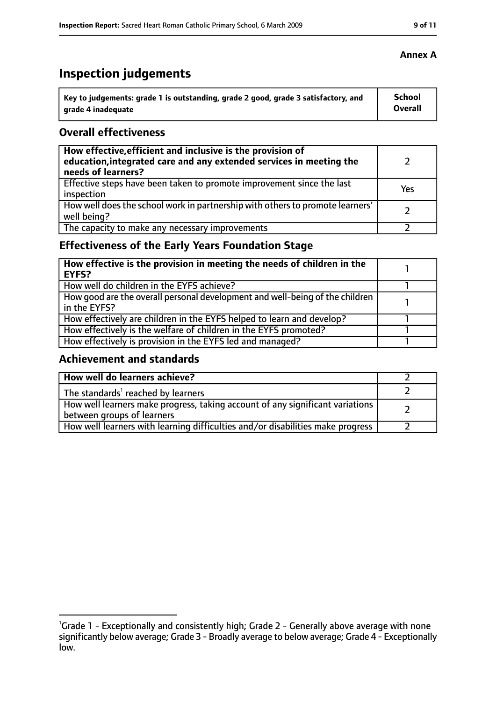## **Inspection judgements**

| Key to judgements: grade 1 is outstanding, grade 2 good, grade 3 satisfactory, and | <b>School</b> |
|------------------------------------------------------------------------------------|---------------|
| arade 4 inadequate                                                                 | Overall       |

#### **Overall effectiveness**

| How effective, efficient and inclusive is the provision of<br>education, integrated care and any extended services in meeting the<br>needs of learners? |     |
|---------------------------------------------------------------------------------------------------------------------------------------------------------|-----|
| Effective steps have been taken to promote improvement since the last<br>inspection                                                                     | Yes |
| How well does the school work in partnership with others to promote learners'<br>well being?                                                            |     |
| The capacity to make any necessary improvements                                                                                                         |     |

### **Effectiveness of the Early Years Foundation Stage**

| How effective is the provision in meeting the needs of children in the<br>EYFS?              |  |
|----------------------------------------------------------------------------------------------|--|
| How well do children in the EYFS achieve?                                                    |  |
| How good are the overall personal development and well-being of the children<br>in the EYFS? |  |
| How effectively are children in the EYFS helped to learn and develop?                        |  |
| How effectively is the welfare of children in the EYFS promoted?                             |  |
| How effectively is provision in the EYFS led and managed?                                    |  |

#### **Achievement and standards**

| How well do learners achieve?                                                                               |  |
|-------------------------------------------------------------------------------------------------------------|--|
| The standards <sup>1</sup> reached by learners                                                              |  |
| How well learners make progress, taking account of any significant variations<br>between groups of learners |  |
| How well learners with learning difficulties and/or disabilities make progress                              |  |

<sup>&</sup>lt;sup>1</sup>Grade 1 - Exceptionally and consistently high; Grade 2 - Generally above average with none significantly below average; Grade 3 - Broadly average to below average; Grade 4 - Exceptionally low.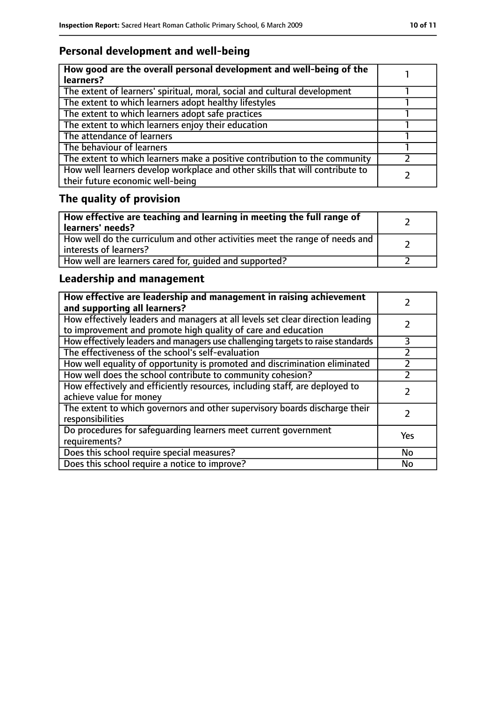### **Personal development and well-being**

| How good are the overall personal development and well-being of the<br>learners?                                 |  |
|------------------------------------------------------------------------------------------------------------------|--|
| The extent of learners' spiritual, moral, social and cultural development                                        |  |
| The extent to which learners adopt healthy lifestyles                                                            |  |
| The extent to which learners adopt safe practices                                                                |  |
| The extent to which learners enjoy their education                                                               |  |
| The attendance of learners                                                                                       |  |
| The behaviour of learners                                                                                        |  |
| The extent to which learners make a positive contribution to the community                                       |  |
| How well learners develop workplace and other skills that will contribute to<br>their future economic well-being |  |

## **The quality of provision**

| How effective are teaching and learning in meeting the full range of<br>learners' needs?              |  |
|-------------------------------------------------------------------------------------------------------|--|
| How well do the curriculum and other activities meet the range of needs and<br>interests of learners? |  |
| How well are learners cared for, quided and supported?                                                |  |

### **Leadership and management**

| How effective are leadership and management in raising achievement<br>and supporting all learners?                                              |           |
|-------------------------------------------------------------------------------------------------------------------------------------------------|-----------|
| How effectively leaders and managers at all levels set clear direction leading<br>to improvement and promote high quality of care and education |           |
| How effectively leaders and managers use challenging targets to raise standards                                                                 | 3         |
| The effectiveness of the school's self-evaluation                                                                                               |           |
| How well equality of opportunity is promoted and discrimination eliminated                                                                      |           |
| How well does the school contribute to community cohesion?                                                                                      |           |
| How effectively and efficiently resources, including staff, are deployed to<br>achieve value for money                                          |           |
| The extent to which governors and other supervisory boards discharge their<br>responsibilities                                                  |           |
| Do procedures for safequarding learners meet current government<br>requirements?                                                                | Yes       |
| Does this school require special measures?                                                                                                      | No        |
| Does this school require a notice to improve?                                                                                                   | <b>No</b> |